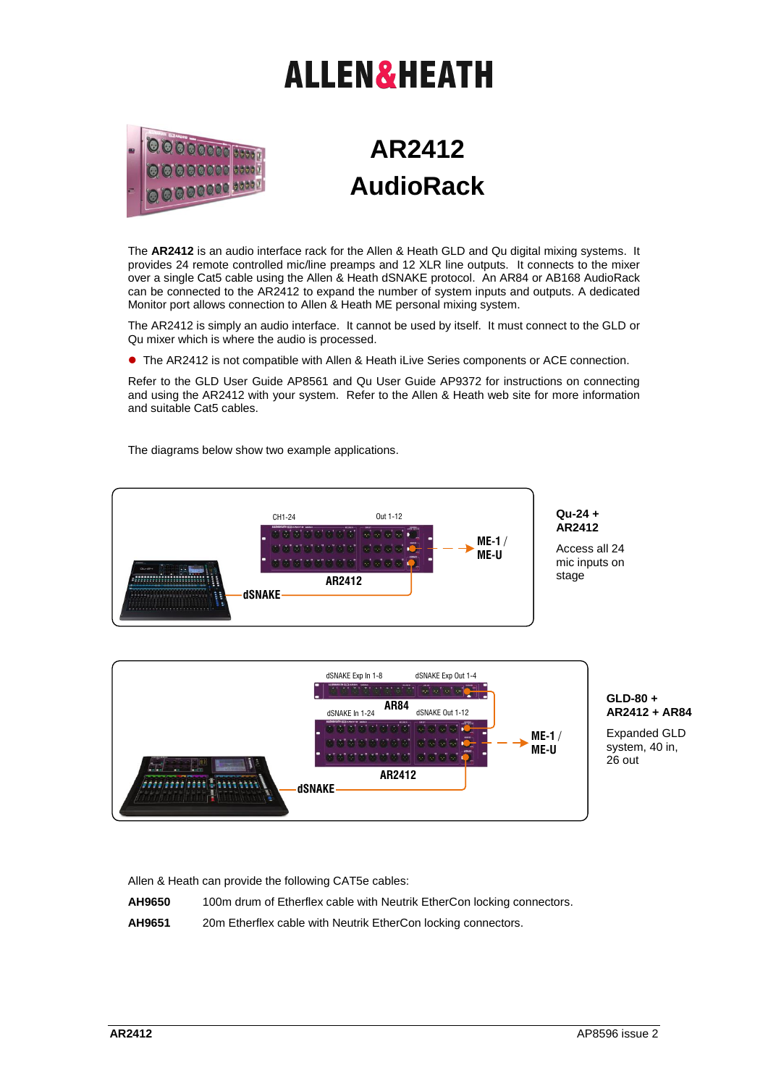## **ALLEN&HEATH**



## **AR2412 AudioRack**

The **AR2412** is an audio interface rack for the Allen & Heath GLD and Qu digital mixing systems. It provides 24 remote controlled mic/line preamps and 12 XLR line outputs. It connects to the mixer over a single Cat5 cable using the Allen & Heath dSNAKE protocol. An AR84 or AB168 AudioRack can be connected to the AR2412 to expand the number of system inputs and outputs. A dedicated Monitor port allows connection to Allen & Heath ME personal mixing system.

The AR2412 is simply an audio interface. It cannot be used by itself. It must connect to the GLD or Qu mixer which is where the audio is processed.

The AR2412 is not compatible with Allen & Heath iLive Series components or ACE connection.

Refer to the GLD User Guide AP8561 and Qu User Guide AP9372 for instructions on connecting and using the AR2412 with your system. Refer to the Allen & Heath web site for more information and suitable Cat5 cables.

The diagrams below show two example applications.



Allen & Heath can provide the following CAT5e cables:

**AH9650** 100m drum of Etherflex cable with Neutrik EtherCon locking connectors.

**AH9651** 20m Etherflex cable with Neutrik EtherCon locking connectors.